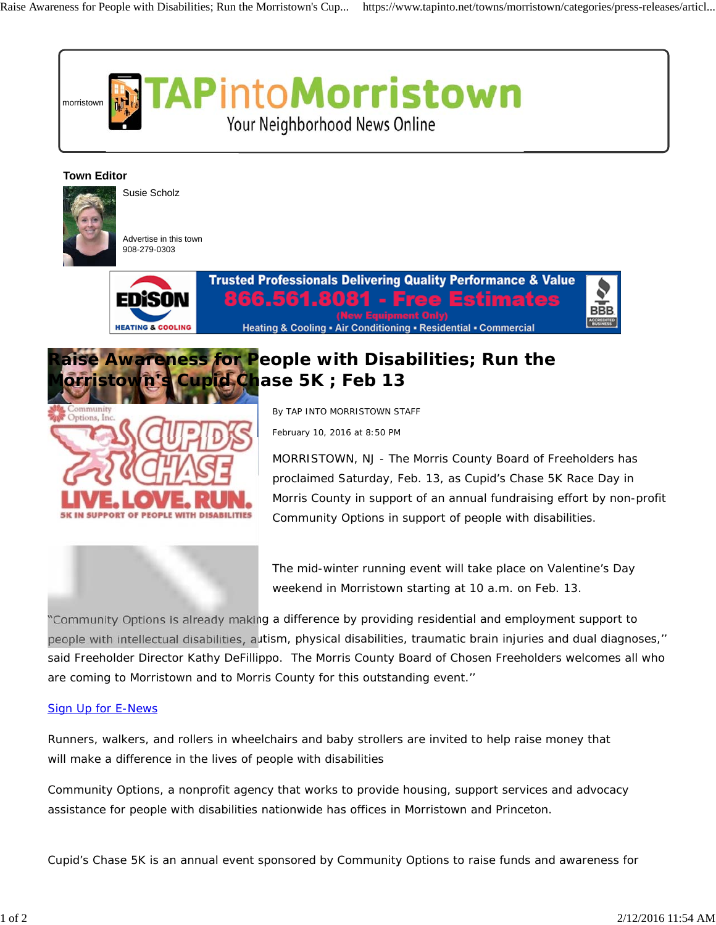

## **Town Editor**



Susie Scholz

Advertise in this town 908-279-0303





## **Raise Awareness for People with Disabilities; Run the d Chase 5K ; Feb 13**

By TAP INTO MORRISTOWN STAFF

February 10, 2016 at 8:50 PM

MORRISTOWN, NJ - The Morris County Board of Freeholders has proclaimed Saturday, Feb. 13, as Cupid's Chase 5K Race Day in Morris County in support of an annual fundraising effort by non-profit Community Options in support of people with disabilities.



"Community Options is already making a difference by providing residential and employment support to people with intellectual disabilities, autism, physical disabilities, traumatic brain injuries and dual diagnoses,'' said Freeholder Director Kathy DeFillippo. The Morris County Board of Chosen Freeholders welcomes all who are coming to Morristown and to Morris County for this outstanding event.''

## Sign Up for E-News

Runners, walkers, and rollers in wheelchairs and baby strollers are invited to help raise money that will make a difference in the lives of people with disabilities

Community Options, a nonprofit agency that works to provide housing, support services and advocacy assistance for people with disabilities nationwide has offices in Morristown and Princeton.

Cupid's Chase 5K is an annual event sponsored by Community Options to raise funds and awareness for